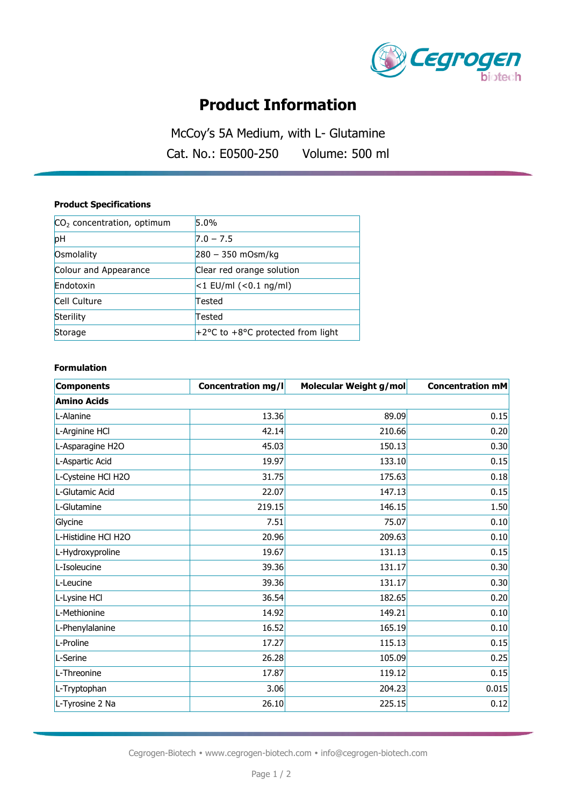

# **Product Information**

McCoy's 5A Medium, with L- Glutamine Cat. No.: E0500-250 Volume: 500 ml

### **Product Specifications**

| $CO2$ concentration, optimum | 5.0%                              |
|------------------------------|-----------------------------------|
| pH                           | $7.0 - 7.5$                       |
| Osmolality                   | 280 - 350 mOsm/kg                 |
| Colour and Appearance        | Clear red orange solution         |
| Endotoxin                    | $<$ 1 EU/ml ( $<$ 0.1 ng/ml)      |
| Cell Culture                 | Tested                            |
| Sterility                    | Tested                            |
| Storage                      | +2°C to +8°C protected from light |

#### **Formulation**

| <b>Components</b>   | <b>Concentration mg/l</b> | Molecular Weight g/mol | <b>Concentration mM</b> |  |  |
|---------------------|---------------------------|------------------------|-------------------------|--|--|
| <b>Amino Acids</b>  |                           |                        |                         |  |  |
| L-Alanine           | 13.36                     | 89.09                  | 0.15                    |  |  |
| L-Arginine HCl      | 42.14                     | 210.66                 | 0.20                    |  |  |
| L-Asparagine H2O    | 45.03                     | 150.13                 | 0.30                    |  |  |
| L-Aspartic Acid     | 19.97                     | 133.10                 | 0.15                    |  |  |
| L-Cysteine HCl H2O  | 31.75                     | 175.63                 | 0.18                    |  |  |
| L-Glutamic Acid     | 22.07                     | 147.13                 | 0.15                    |  |  |
| L-Glutamine         | 219.15                    | 146.15                 | 1.50                    |  |  |
| Glycine             | 7.51                      | 75.07                  | 0.10                    |  |  |
| L-Histidine HCl H2O | 20.96                     | 209.63                 | 0.10                    |  |  |
| L-Hydroxyproline    | 19.67                     | 131.13                 | 0.15                    |  |  |
| L-Isoleucine        | 39.36                     | 131.17                 | 0.30                    |  |  |
| L-Leucine           | 39.36                     | 131.17                 | 0.30                    |  |  |
| L-Lysine HCl        | 36.54                     | 182.65                 | 0.20                    |  |  |
| L-Methionine        | 14.92                     | 149.21                 | 0.10                    |  |  |
| L-Phenylalanine     | 16.52                     | 165.19                 | 0.10                    |  |  |
| L-Proline           | 17.27                     | 115.13                 | 0.15                    |  |  |
| L-Serine            | 26.28                     | 105.09                 | 0.25                    |  |  |
| L-Threonine         | 17.87                     | 119.12                 | 0.15                    |  |  |
| L-Tryptophan        | 3.06                      | 204.23                 | 0.015                   |  |  |
| L-Tyrosine 2 Na     | 26.10                     | 225.15                 | 0.12                    |  |  |